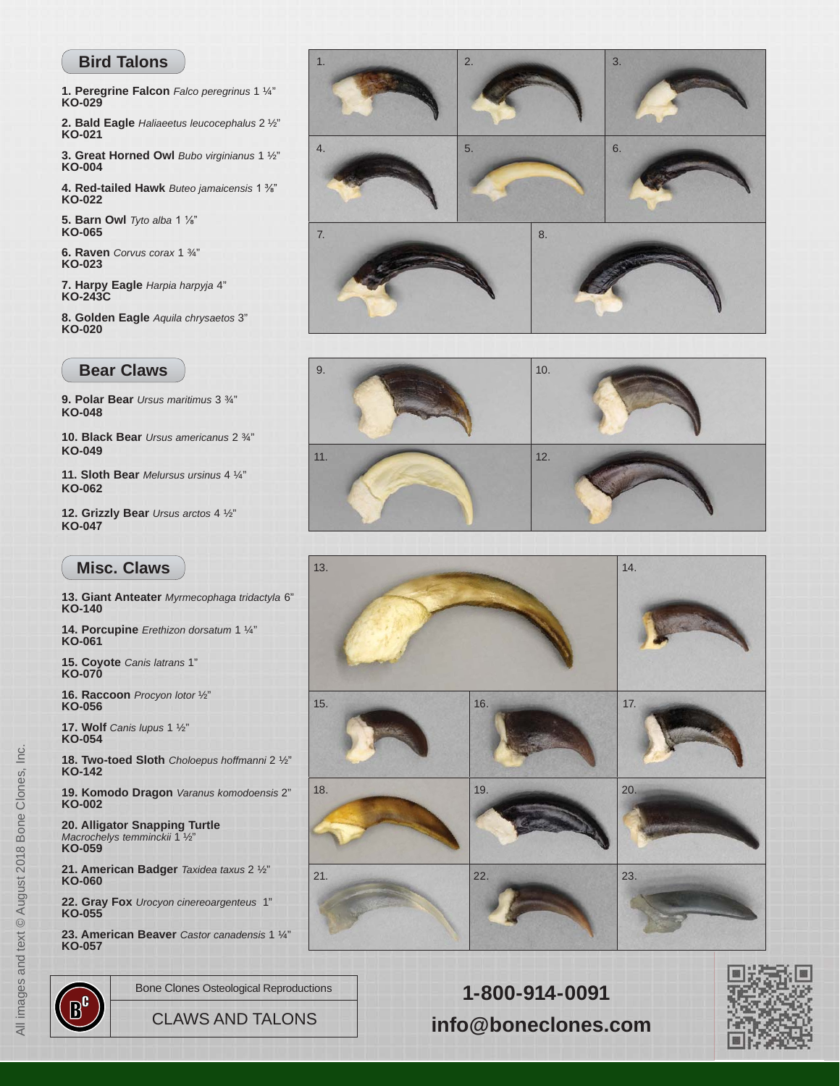## **Bird Talons**

**1. Peregrine Falcon** *Falco peregrinus* 1 ¼" **KO-029**

**2. Bald Eagle** *Haliaeetus leucocephalus* 2 ½" **KO-021**

**3. Great Horned Owl** *Bubo virginianus* 1 ½" **KO-004**

**4. Red-tailed Hawk** *Buteo jamaicensis* 1 %" **KO-022**

**5. Barn Owl** *Tyto alba* 1 <sup>1</sup>/<sub>8</sub>" **KO-065**

**6. Raven** *Corvus corax* 1 ¾" **KO-023**

**7. Harpy Eagle** *Harpia harpyja* 4" **KO-243C**

**8. Golden Eagle** *Aquila chrysaetos* 3" **KO-020**

## **Bear Claws**

**9. Polar Bear** *Ursus maritimus* 3 ¾" **KO-048**

**10. Black Bear** *Ursus americanus* 2 ¾" **KO-049**

**11. Sloth Bear** *Melursus ursinus* 4 ¼" **KO-062**

**12. Grizzly Bear** *Ursus arctos* 4 ½" **KO-047**

## **Misc. Claws**

**13. Giant Anteater** *Myrmecophaga tridactyla* 6" **KO-140**

**14. Porcupine** *Erethizon dorsatum* 1 ¼" **KO-061**

**15. Coyote** *Canis latrans* 1" **KO-070**

**16. Raccoon** *Procyon lotor* ½" **KO-056**

**17. Wolf** *Canis lupus* 1 ½" **KO-054**

**18. Two-toed Sloth** *Choloepus hoffmanni* 2 ½" **KO-142**

**19. Komodo Dragon** *Varanus komodoensis* 2" **KO-002**

**[20. Alligator Snapping Turtle](https://boneclones.com/category/zoology-claws-talons-spines/zoology)** *Macrochelys temminckii* 1 ½" **KO-059 21. American Badger** *Taxidea taxus* 2 ½"

**KO-060**

**22. Gray Fox** *Urocyon cinereoargenteus* 1" **KO-055**

**23. American Beaver** *Castor canadensis* 1 ¼" **KO-057**







Bone Clones Osteological Reproductions **1-800-914-0091** CLAWS AND TALONS **[info@boneclones.com](mailto:info@boneclones.com)**



Inc. All images and text © August 2018 Bone Clones, Inc. All images and text @ August 2018 Bone Clones,